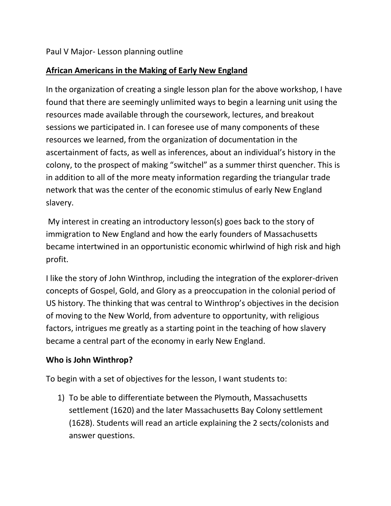## **African Americans in the Making of Early New England**

In the organization of creating a single lesson plan for the above workshop, I have found that there are seemingly unlimited ways to begin a learning unit using the resources made available through the coursework, lectures, and breakout sessions we participated in. I can foresee use of many components of these resources we learned, from the organization of documentation in the ascertainment of facts, as well as inferences, about an individual's history in the colony, to the prospect of making "switchel" as a summer thirst quencher. This is in addition to all of the more meaty information regarding the triangular trade network that was the center of the economic stimulus of early New England slavery.

My interest in creating an introductory lesson(s) goes back to the story of immigration to New England and how the early founders of Massachusetts became intertwined in an opportunistic economic whirlwind of high risk and high profit.

I like the story of John Winthrop, including the integration of the explorer-driven concepts of Gospel, Gold, and Glory as a preoccupation in the colonial period of US history. The thinking that was central to Winthrop's objectives in the decision of moving to the New World, from adventure to opportunity, with religious factors, intrigues me greatly as a starting point in the teaching of how slavery became a central part of the economy in early New England.

## **Who is John Winthrop?**

To begin with a set of objectives for the lesson, I want students to:

1) To be able to differentiate between the Plymouth, Massachusetts settlement (1620) and the later Massachusetts Bay Colony settlement (1628). Students will read an article explaining the 2 sects/colonists and answer questions.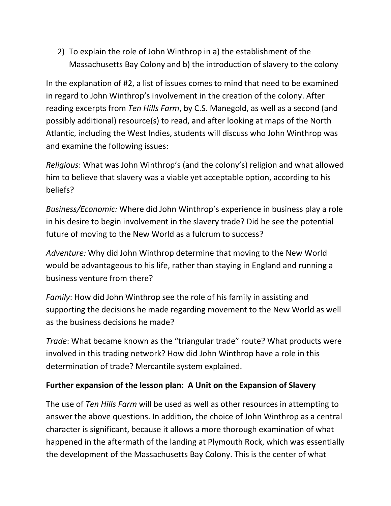2) To explain the role of John Winthrop in a) the establishment of the Massachusetts Bay Colony and b) the introduction of slavery to the colony

In the explanation of #2, a list of issues comes to mind that need to be examined in regard to John Winthrop's involvement in the creation of the colony. After reading excerpts from *Ten Hills Farm*, by C.S. Manegold, as well as a second (and possibly additional) resource(s) to read, and after looking at maps of the North Atlantic, including the West Indies, students will discuss who John Winthrop was and examine the following issues:

*Religious*: What was John Winthrop's (and the colony's) religion and what allowed him to believe that slavery was a viable yet acceptable option, according to his beliefs?

*Business/Economic:* Where did John Winthrop's experience in business play a role in his desire to begin involvement in the slavery trade? Did he see the potential future of moving to the New World as a fulcrum to success?

*Adventure:* Why did John Winthrop determine that moving to the New World would be advantageous to his life, rather than staying in England and running a business venture from there?

*Family*: How did John Winthrop see the role of his family in assisting and supporting the decisions he made regarding movement to the New World as well as the business decisions he made?

*Trade*: What became known as the "triangular trade" route? What products were involved in this trading network? How did John Winthrop have a role in this determination of trade? Mercantile system explained.

## **Further expansion of the lesson plan: A Unit on the Expansion of Slavery**

The use of *Ten Hills Farm* will be used as well as other resources in attempting to answer the above questions. In addition, the choice of John Winthrop as a central character is significant, because it allows a more thorough examination of what happened in the aftermath of the landing at Plymouth Rock, which was essentially the development of the Massachusetts Bay Colony. This is the center of what